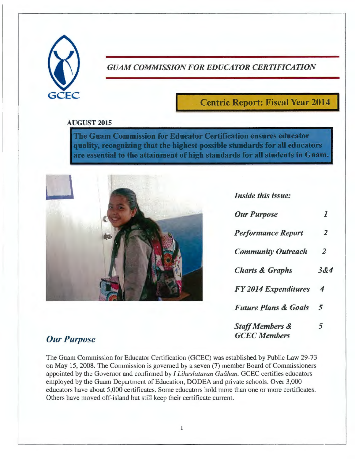

#### *GUAM COMMISSION FOR EDUCATOR CERTIFICATION*

### **Centric Report: Fiscal Year 2014**

#### **AUGUST 2015**

The Guam Commission for Educator Certification ensures educator quality, recognizing that the highest possible standards for all educators are essential to the attainment of high standards for all students in Guam.



*Inside this issue:* 

| <b>Our Purpose</b>                                | 1              |
|---------------------------------------------------|----------------|
| <b>Performance Report</b>                         | $\overline{2}$ |
| <b>Community Outreach</b>                         | $\overline{2}$ |
| <b>Charts &amp; Graphs</b>                        | 384            |
| <b>FY 2014 Expenditures</b>                       | 4              |
| <b>Future Plans &amp; Goals</b>                   | 5              |
| <b>Staff Members &amp;</b><br><b>GCEC</b> Members | 5              |

#### $Our$  *Purpose*

The Guam Commission for Educator Certification (GCEC) was established by Public Law 29-73 on May 15, 2008. The Commission is governed by a seven (7) member Board of Commissioners appointed by the Governor and confirmed by *I Liheslaturan Guahan.* GCEC certifies educators employed by the Guam Department of Education, DODEA and private schools. Over 3,000 educators have about 5,000 certificates. Some educators hold more than one or more certificates. Others have moved off-island but still keep their certificate current.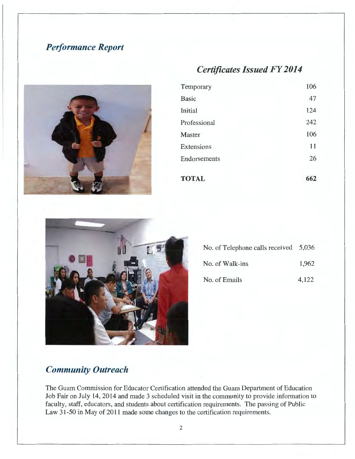## *Performance Report*

# *Certificates Issued FY 2014*  Temporary Basic



| Temporary    | 106 |
|--------------|-----|
| <b>Basic</b> | 47  |
| Initial      | 124 |
| Professional | 242 |
|              |     |
| Master       | 106 |
| Extensions   | 11  |
| Endorsements | 26  |
| <b>TOTAL</b> | 662 |



| No. of Telephone calls received $5,036$ |       |
|-----------------------------------------|-------|
| No. of Walk-ins                         | 1,962 |
| No. of Emails                           | 4,122 |

### *Community Outreach*

The Guam Commission for Educator Certification attended the Guam Department of Education Job Fair on July 14, 2014 and made 3 scheduled visit in the community to provide information to faculty, staff, educators, and students about certification requirements . The passing of Public Law 31-50 in May of 2011 made some changes to the certification requirements .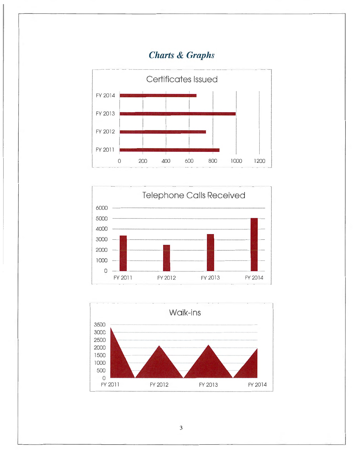## *Charts* **&** *Graphs*







3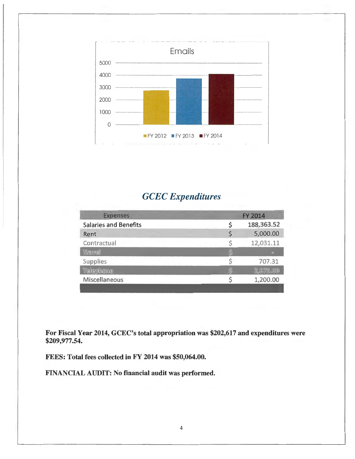

## *GCEC Expenditures*

| <b>Expenses</b>              | <b>FY 2014</b> |            |
|------------------------------|----------------|------------|
| <b>Salaries and Benefits</b> |                | 188,363.52 |
| Rent                         |                | 5,000.00   |
| Contractual                  |                | 12,031.11  |
| Travel                       |                | $\sim$     |
| <b>Supplies</b>              |                | 707.31     |
| Telephone                    |                | 2.675.60   |
| <b>Miscellaneous</b>         |                | 1,200.00   |
|                              |                |            |

For Fiscal Year 2014, GCEC's total appropriation was \$202,617 and expenditures were \$209,977.54.

FEES: Total fees collected in FY 2014 was \$50,064.00.

FINANCIAL AUDIT: No financial audit was performed.